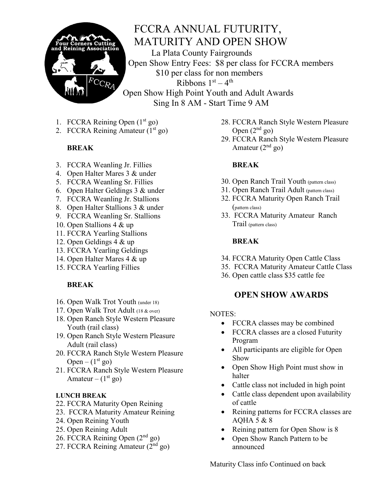

# FCCRA ANNUAL FUTURITY, MATURITY AND OPEN SHOW

La Plata County Fairgrounds Open Show Entry Fees: \$8 per class for FCCRA members \$10 per class for non members Ribbons  $1<sup>st</sup> - 4<sup>th</sup>$ Open Show High Point Youth and Adult Awards Sing In 8 AM - Start Time 9 AM

- 1. FCCRA Reining Open  $(1<sup>st</sup>$  go)
- 2. FCCRA Reining Amateur  $(1<sup>st</sup>$  go)

## **BREAK**

- 3. FCCRA Weanling Jr. Fillies
- 4. Open Halter Mares 3 & under
- 5. FCCRA Weanling Sr. Fillies
- 6. Open Halter Geldings 3 & under
- 7. FCCRA Weanling Jr. Stallions
- 8. Open Halter Stallions 3 & under
- 9. FCCRA Weanling Sr. Stallions
- 10. Open Stallions 4 & up
- 11. FCCRA Yearling Stallions
- 12. Open Geldings 4 & up
- 13. FCCRA Yearling Geldings
- 14. Open Halter Mares 4 & up
- 15. FCCRA Yearling Fillies

## **BREAK**

- 16. Open Walk Trot Youth (under 18)
- 17. Open Walk Trot Adult (18 & over)
- 18. Open Ranch Style Western Pleasure Youth (rail class)
- 19. Open Ranch Style Western Pleasure Adult (rail class)
- 20. FCCRA Ranch Style Western Pleasure Open –  $(1<sup>st</sup>$  go)
- 21. FCCRA Ranch Style Western Pleasure Amateur –  $(1<sup>st</sup>$  go)

#### **LUNCH BREAK**

- 22. FCCRA Maturity Open Reining
- 23. FCCRA Maturity Amateur Reining
- 24. Open Reining Youth
- 25. Open Reining Adult
- 26. FCCRA Reining Open (2nd go)
- 27. FCCRA Reining Amateur (2nd go)
- 28. FCCRA Ranch Style Western Pleasure Open  $(2<sup>nd</sup>$  go)
- 29. FCCRA Ranch Style Western Pleasure Amateur  $(2<sup>nd</sup>$  go)

#### **BREAK**

- 30. Open Ranch Trail Youth (pattern class)
- 31. Open Ranch Trail Adult (pattern class)
- 32. FCCRA Maturity Open Ranch Trail (pattern class)
- 33. FCCRA Maturity Amateur Ranch Trail (pattern class)

#### **BREAK**

- 34. FCCRA Maturity Open Cattle Class
- 35. FCCRA Maturity Amateur Cattle Class
- 36. Open cattle class \$35 cattle fee

# **OPEN SHOW AWARDS**

#### NOTES:

- FCCRA classes may be combined
- FCCRA classes are a closed Futurity Program
- All participants are eligible for Open Show
- Open Show High Point must show in halter
- Cattle class not included in high point
- Cattle class dependent upon availability of cattle
- Reining patterns for FCCRA classes are AQHA 5 & 8
- Reining pattern for Open Show is 8
- Open Show Ranch Pattern to be announced

Maturity Class info Continued on back